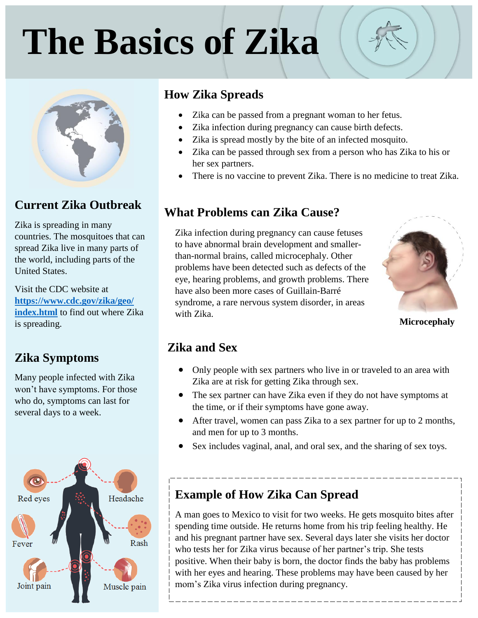# **The Basics of Zika**



#### **Current Zika Outbreak**

Zika is spreading in many countries. The mosquitoes that can spread Zika live in many parts of the world, including parts of the United States.

Visit the CDC website at **[https://www.cdc.gov/zika/geo/](https://www.cdc.gov/zika/geo/%20index.html)  [index.html](https://www.cdc.gov/zika/geo/%20index.html)** to find out where Zika is spreading.

#### **Zika Symptoms**

Many people infected with Zika won't have symptoms. For those who do, symptoms can last for several days to a week.



#### **How Zika Spreads**

- Zika can be passed from a pregnant woman to her fetus.
- Zika infection during pregnancy can cause birth defects.
- Zika is spread mostly by the bite of an infected mosquito.
- Zika can be passed through sex from a person who has Zika to his or her sex partners.
- There is no vaccine to prevent Zika. There is no medicine to treat Zika.

#### **What Problems can Zika Cause?**

Zika infection during pregnancy can cause fetuses to have abnormal brain development and smallerthan-normal brains, called microcephaly. Other problems have been detected such as defects of the eye, hearing problems, and growth problems. There have also been more cases of Guillain-Barré syndrome, a rare nervous system disorder, in areas with Zika.



**Microcephaly** 

#### **Zika and Sex**

- Only people with sex partners who live in or traveled to an area with Zika are at risk for getting Zika through sex.
- The sex partner can have Zika even if they do not have symptoms at the time, or if their symptoms have gone away.
- After travel, women can pass Zika to a sex partner for up to 2 months, and men for up to 3 months.

\_\_\_\_\_\_\_\_\_\_\_\_\_\_\_\_\_\_\_\_\_\_\_\_\_\_\_

Sex includes vaginal, anal, and oral sex, and the sharing of sex toys.

#### **Example of How Zika Can Spread**

A man goes to Mexico to visit for two weeks. He gets mosquito bites after spending time outside. He returns home from his trip feeling healthy. He and his pregnant partner have sex. Several days later she visits her doctor who tests her for Zika virus because of her partner's trip. She tests positive. When their baby is born, the doctor finds the baby has problems with her eyes and hearing. These problems may have been caused by her mom's Zika virus infection during pregnancy.